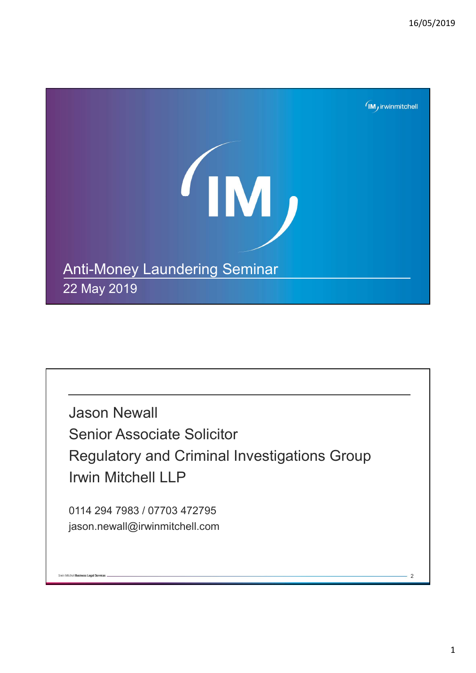

Jason Newall Senior Associate Solicitor Regulatory and Criminal Investigations Group Irwin Mitchell LLP

0114 294 7983 / 07703 472795 jason.newall@irwinmitchell.com

**Invin Mitchell Business Legal Services**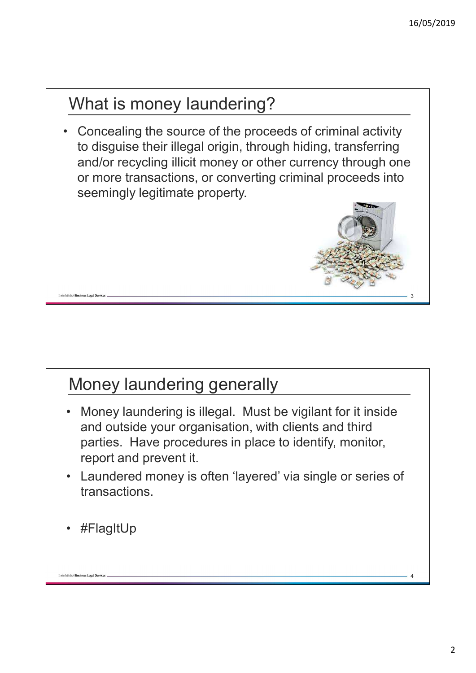## What is money laundering?

• Concealing the source of the proceeds of criminal activity to disguise their illegal origin, through hiding, transferring and/or recycling illicit money or other currency through one or more transactions, or converting criminal proceeds into seemingly legitimate property.



## Money laundering generally

- Money laundering is illegal. Must be vigilant for it inside and outside your organisation, with clients and third parties. Have procedures in place to identify, monitor, report and prevent it.
- Laundered money is often 'layered' via single or series of transactions.
- #FlagItUp

Mitchell Business Legal Servi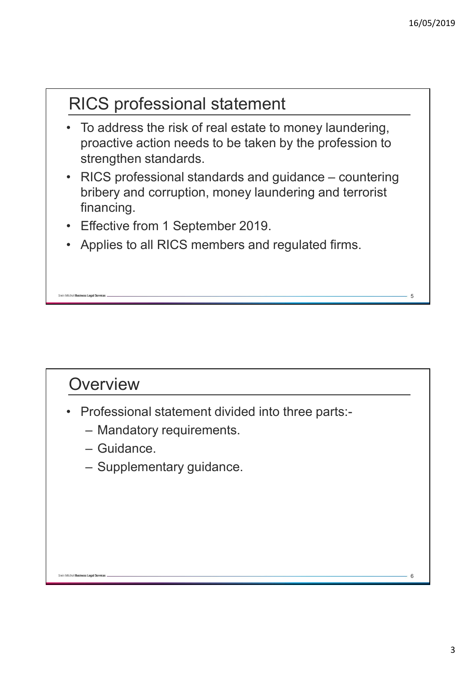# RICS professional statement

- To address the risk of real estate to money laundering, proactive action needs to be taken by the profession to strengthen standards.
- RICS professional standards and guidance countering bribery and corruption, money laundering and terrorist financing.
- Effective from 1 September 2019.
- Applies to all RICS members and regulated firms.

#### **Overview**

Mitchell Business Leagl Services

- Professional statement divided into three parts:-
	- Mandatory requirements.
	- Guidance.
	- Supplementary guidance.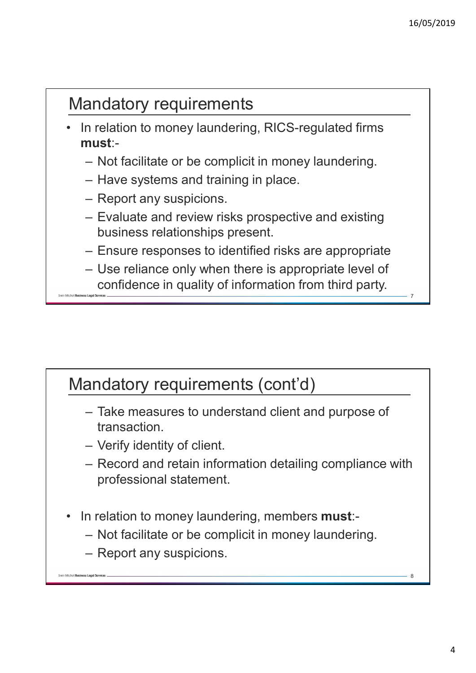8

## Mandatory requirements

- In relation to money laundering, RICS-regulated firms must:-
	- Not facilitate or be complicit in money laundering.
	- Have systems and training in place.
	- Report any suspicions.
	- Evaluate and review risks prospective and existing business relationships present.
	- Ensure responses to identified risks are appropriate
	- Use reliance only when there is appropriate level of confidence in quality of information from third party.

## Mandatory requirements (cont'd)

- Take measures to understand client and purpose of transaction.
- Verify identity of client.
- Record and retain information detailing compliance with professional statement.
- In relation to money laundering, members **must**:-
	- Not facilitate or be complicit in money laundering.
	- Report any suspicions.

vin Mitchell Business Leagl Services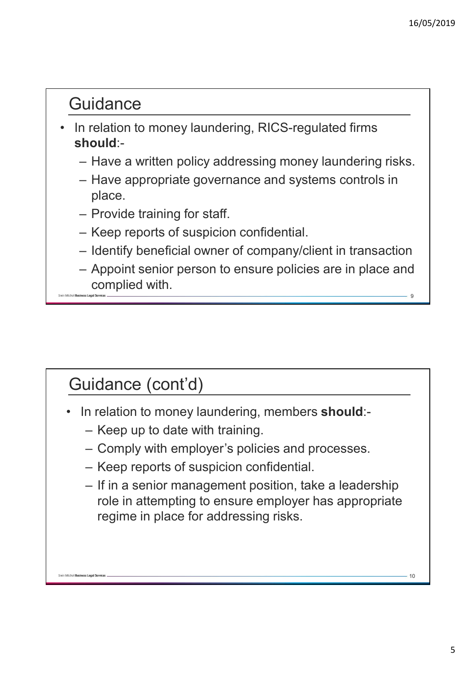### **Guidance**

- In relation to money laundering, RICS-regulated firms should:-
	- Have a written policy addressing money laundering risks.
	- Have appropriate governance and systems controls in place.
	- Provide training for staff.
	- Keep reports of suspicion confidential.
	- Identify beneficial owner of company/client in transaction
	- Appoint senior person to ensure policies are in place and complied with.

# Guidance (cont'd)

n Mitchell Business Legal Service

- In relation to money laundering, members should:-
	- Keep up to date with training.
	- Comply with employer's policies and processes.
	- Keep reports of suspicion confidential.
	- If in a senior management position, take a leadership role in attempting to ensure employer has appropriate regime in place for addressing risks.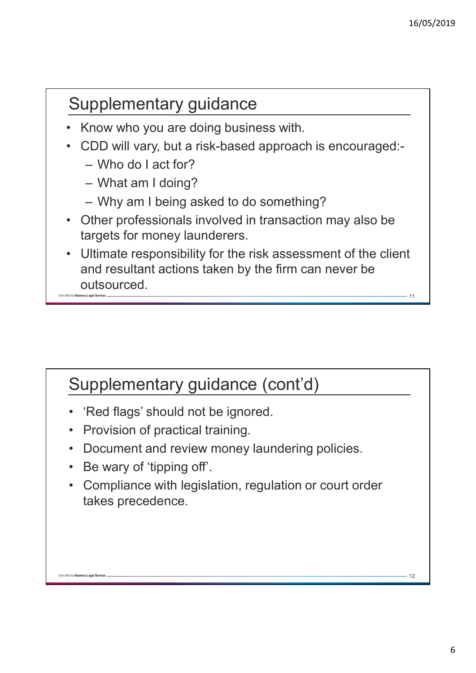12

## Supplementary guidance

- Know who you are doing business with.
- CDD will vary, but a risk-based approach is encouraged:-
	- Who do I act for?
	- What am I doing?
	- Why am I being asked to do something?
- Other professionals involved in transaction may also be targets for money launderers.
- Ultimate responsibility for the risk assessment of the client and resultant actions taken by the firm can never be outsourced.

## Supplementary guidance (cont'd)

- 'Red flags' should not be ignored.
- Provision of practical training.
- Document and review money laundering policies.
- Be wary of 'tipping off'.

vin Mitchell Business Leagl Services

• Compliance with legislation, regulation or court order takes precedence.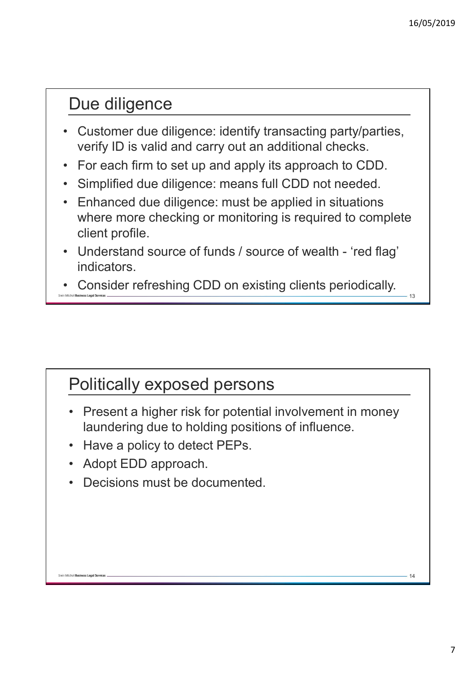14

### Due diligence

- Customer due diligence: identify transacting party/parties, verify ID is valid and carry out an additional checks.
- For each firm to set up and apply its approach to CDD.
- Simplified due diligence: means full CDD not needed.
- Enhanced due diligence: must be applied in situations where more checking or monitoring is required to complete client profile.
- Understand source of funds / source of wealth 'red flag' indicators.
- Consider refreshing CDD on existing clients periodically.

### Politically exposed persons

- Present a higher risk for potential involvement in money laundering due to holding positions of influence.
- Have a policy to detect PEPs.
- Adopt EDD approach.

Mitchell Business Legal Service

• Decisions must be documented.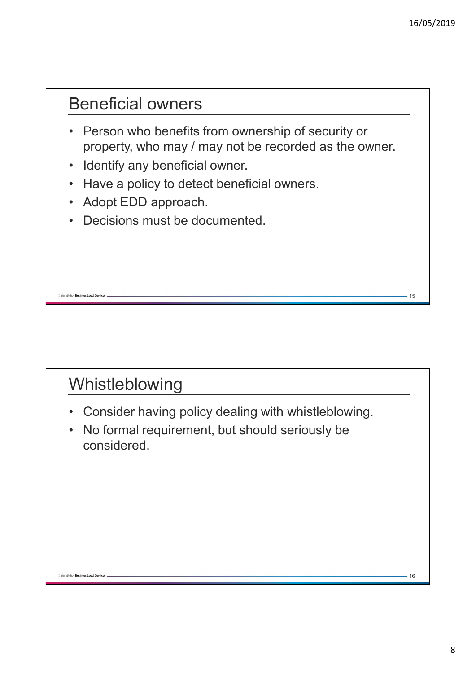#### Beneficial owners

- Person who benefits from ownership of security or property, who may / may not be recorded as the owner.
- Identify any beneficial owner.
- Have a policy to detect beneficial owners.
- Adopt EDD approach.
- Decisions must be documented.

# Whistleblowing

n Mitchell **Business Leagl Services** 

- Consider having policy dealing with whistleblowing.
- No formal requirement, but should seriously be considered.